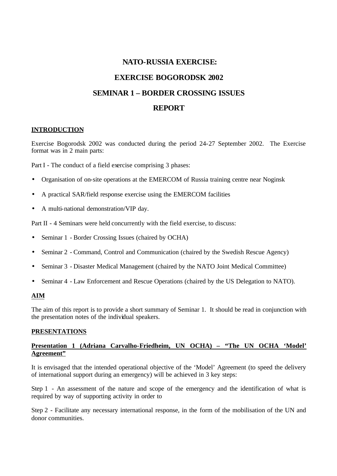# **NATO-RUSSIA EXERCISE: EXERCISE BOGORODSK 2002 SEMINAR 1 – BORDER CROSSING ISSUES REPORT**

### **INTRODUCTION**

Exercise Bogorodsk 2002 was conducted during the period 24-27 September 2002. The Exercise format was in 2 main parts:

Part I - The conduct of a field exercise comprising 3 phases:

- Organisation of on-site operations at the EMERCOM of Russia training centre near Noginsk
- A practical SAR/field response exercise using the EMERCOM facilities
- A multi-national demonstration/VIP day.

Part II - 4 Seminars were held concurrently with the field exercise, to discuss:

- Seminar 1 Border Crossing Issues (chaired by OCHA)
- Seminar 2 Command, Control and Communication (chaired by the Swedish Rescue Agency)
- Seminar 3 Disaster Medical Management (chaired by the NATO Joint Medical Committee)
- Seminar 4 Law Enforcement and Rescue Operations (chaired by the US Delegation to NATO).

#### **AIM**

The aim of this report is to provide a short summary of Seminar 1. It should be read in conjunction with the presentation notes of the individual speakers.

#### **PRESENTATIONS**

### **Presentation 1 (Adriana Carvalho-Friedheim, UN OCHA) – "The UN OCHA 'Model' Agreement"**

It is envisaged that the intended operational objective of the 'Model' Agreement (to speed the delivery of international support during an emergency) will be achieved in 3 key steps:

Step 1 - An assessment of the nature and scope of the emergency and the identification of what is required by way of supporting activity in order to

Step 2 - Facilitate any necessary international response, in the form of the mobilisation of the UN and donor communities.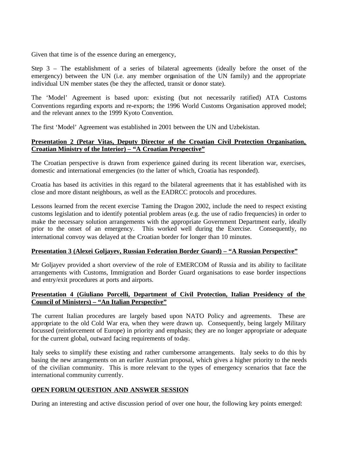Given that time is of the essence during an emergency,

Step 3 – The establishment of a series of bilateral agreements (ideally before the onset of the emergency) between the UN (i.e. any member organisation of the UN family) and the appropriate individual UN member states (be they the affected, transit or donor state).

The 'Model' Agreement is based upon: existing (but not necessarily ratified) ATA Customs Conventions regarding exports and re-exports; the 1996 World Customs Organisation approved model; and the relevant annex to the 1999 Kyoto Convention.

The first 'Model' Agreement was established in 2001 between the UN and Uzbekistan.

#### **Presentation 2 (Petar Vitas, Deputy Director of the Croatian Civil Protection Organisation, Croatian Ministry of the Interior) – "A Croatian Perspective"**

The Croatian perspective is drawn from experience gained during its recent liberation war, exercises, domestic and international emergencies (to the latter of which, Croatia has responded).

Croatia has based its activities in this regard to the bilateral agreements that it has established with its close and more distant neighbours, as well as the EADRCC protocols and procedures.

Lessons learned from the recent exercise Taming the Dragon 2002, include the need to respect existing customs legislation and to identify potential problem areas (e.g. the use of radio frequencies) in order to make the necessary solution arrangements with the appropriate Government Department early, ideally prior to the onset of an emergency. This worked well during the Exercise. Consequently, no international convoy was delayed at the Croatian border for longer than 10 minutes.

#### **Presentation 3 (Alexei Goljayev, Russian Federation Border Guard) – "A Russian Perspective"**

Mr Goljayev provided a short overview of the role of EMERCOM of Russia and its ability to facilitate arrangements with Customs, Immigration and Border Guard organisations to ease border inspections and entry/exit procedures at ports and airports.

#### **Presentation 4 (Giuliano Porcelli, Department of Civil Protection, Italian Presidency of the Council of Ministers) – "An Italian Perspective"**

The current Italian procedures are largely based upon NATO Policy and agreements. These are appropriate to the old Cold War era, when they were drawn up. Consequently, being largely Military focussed (reinforcement of Europe) in priority and emphasis; they are no longer appropriate or adequate for the current global, outward facing requirements of today.

Italy seeks to simplify these existing and rather cumbersome arrangements. Italy seeks to do this by basing the new arrangements on an earlier Austrian proposal, which gives a higher priority to the needs of the civilian community. This is more relevant to the types of emergency scenarios that face the international community currently.

#### **OPEN FORUM QUESTION AND ANSWER SESSION**

During an interesting and active discussion period of over one hour, the following key points emerged: